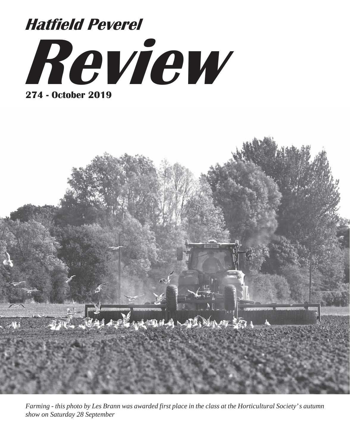# **274 - October 2019 Review Hatfield Peverel**



*Farming - this photo by Les Brann was awarded first place in the class at the Horticultural Society' s autumn show on Saturday 28 September*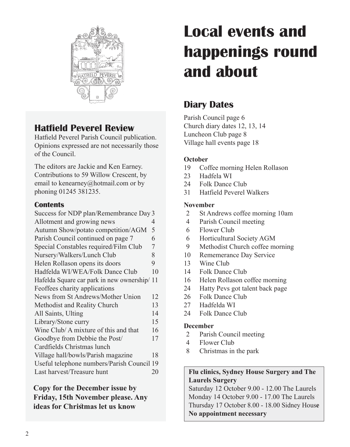

### **Hatfield Peverel Review**

Hatfield Peverel Parish Council publication. Opinions expressed are not necessarily those of the Council.

The editors are Jackie and Ken Earney. Contributions to 59 Willow Crescent, by email to kenearney@hotmail.com or by phoning 01245 381235.

### **Contents**

| Success for NDP plan/Remembrance Day 3     |    |
|--------------------------------------------|----|
| Allotment and growing news                 | 4  |
| Autumn Show/potato competition/AGM         | 5  |
| Parish Council continued on page 7         | 6  |
| Special Constables required/Film Club      | 7  |
| Nursery/Walkers/Lunch Club                 | 8  |
| Helen Rollason opens its doors             | 9  |
| Hadfelda WI/WEA/Folk Dance Club            | 10 |
| Hafelda Square car park in new ownership/  | 11 |
| Feoffees charity applications              |    |
| News from St Andrews/Mother Union          | 12 |
| Methodist and Reality Church               | 13 |
| All Saints, Ulting                         | 14 |
| Library/Stone curry                        | 15 |
| Wine Club/A mixture of this and that       | 16 |
| Goodbye from Debbie the Post/              | 17 |
| Cardfields Christmas lunch                 |    |
| Village hall/bowls/Parish magazine         | 18 |
| Useful telephone numbers/Parish Council 19 |    |
| Last harvest/Treasure hunt                 | 20 |

**Copy for the December issue by Friday, 15th November please. Any ideas for Christmas let us know**

## **Local events and happenings round and about**

### **Diary Dates**

Parish Council page 6 Church diary dates 12, 13, 14 Luncheon Club page 8 Village hall events page 18

#### **October**

- 19 Coffee morning Helen Rollason
- 23 Hadfela WI
- 24 Folk Dance Club
- 31 Hatfield Peverel Walkers

### **November**

- 2 St Andrews coffee morning 10am
- 4 Parish Council meeting
- 6 Flower Club
- 6 Horticultural Society AGM
- 9 Methodist Church coffee morning
- 10 Rememerance Day Service
- 13 Wine Club
- 14 Folk Dance Club
- 16 Helen Rollason coffee morning
- 24 Hatty Pevs got talent back page
- 26 Folk Dance Club
- 27 Hadfelda WI
- 24 Folk Dance Club

### **December**

- 2 Parish Council meeting
- 4 Flower Club
- 8 Christmas in the park

### **Flu clinics, Sydney House Surgery and The Laurels Surgery**

Saturday 12 October 9.00 - 12.00 The Laurels Monday 14 October 9.00 - 17.00 The Laurels Thursday 17 October 8.00 - 18.00 Sidney Hous**e No appointment necessary**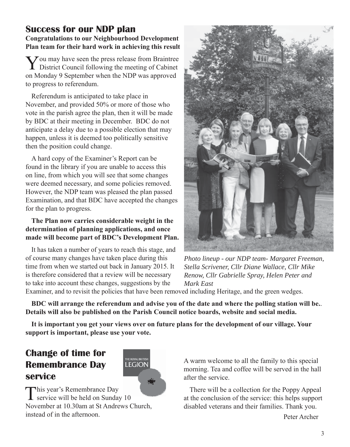### **Success for our NDP plan Congratulations to our Neighbourhood Development Plan team for their hard work in achieving this result**

You may have seen the press release from Braintree District Council following the meeting of Cabinet on Monday 9 September when the NDP was approved to progress to referendum.

Referendum is anticipated to take place in November, and provided 50% or more of those who vote in the parish agree the plan, then it will be made by BDC at their meeting in December. BDC do not anticipate a delay due to a possible election that may happen, unless it is deemed too politically sensitive then the position could change.

A hard copy of the Examiner's Report can be found in the library if you are unable to access this on line, from which you will see that some changes were deemed necessary, and some policies removed. However, the NDP team was pleased the plan passed Examination, and that BDC have accepted the changes for the plan to progress.

#### **The Plan now carries considerable weight in the determination of planning applications, and once made will become part of BDC's Development Plan.**

It has taken a number of years to reach this stage, and of course many changes have taken place during this time from when we started out back in January 2015. It is therefore considered that a review will be necessary to take into account these changes, suggestions by the



*Photo lineup - our NDP team- Margaret Freeman, Stella Scrivener, Cllr Diane Wallace, Cllr Mike Renow, Cllr Gabrielle Spray, Helen Peter and Mark East* 

Examiner, and to revisit the policies that have been removed including Heritage, and the green wedges.

**BDC will arrange the referendum and advise you of the date and where the polling station will be.**. **Details will also be published on the Parish Council notice boards, website and social media.** 

**It is important you get your views over on future plans for the development of our village. Your support is important, please use your vote.**

### **Change of time for Remembrance Day service**



This year's Remembrance Day service will be held on Sunday 10 November at 10.30am at St Andrews Church, instead of in the afternoon.

A warm welcome to all the family to this special morning. Tea and coffee will be served in the hall after the service.

There will be a collection for the Poppy Appeal at the conclusion of the service: this helps support disabled veterans and their families. Thank you.

Peter Archer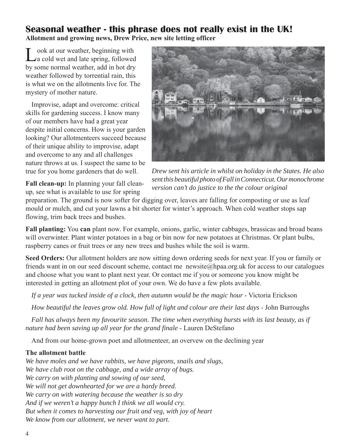### **Seasonal weather - this phrase does not really exist in the UK! Allotment and growing news, Drew Price, new site letting officer**

Look at our weather, beginning with a cold wet and late spring, followed by some normal weather, add in hot dry weather followed by torrential rain, this is what we on the allotments live for. The mystery of mother nature.

Improvise, adapt and overcome: critical skills for gardening success. I know many of our members have had a great year despite initial concerns. How is your garden looking? Our allotmenteers succeed because of their unique ability to improvise, adapt and overcome to any and all challenges nature throws at us. I suspect the same to be true for you home gardeners that do well.

**Fall clean-up:** In planning your fall cleanup, see what is available to use for spring



*Drew sent his article in whilst on holiday in the States. He also sent this beautiful photo of Fall in Connecticut. Our monochrome version can't do justice to the the colour original*

preparation. The ground is now softer for digging over, leaves are falling for composting or use as leaf mould or mulch, and cut your lawns a bit shorter for winter's approach. When cold weather stops sap flowing, trim back trees and bushes.

**Fall planting:** You **can** plant now. For example, onions, garlic, winter cabbages, brassicas and broad beans will overwinter. Plant winter potatoes in a bag or bin now for new potatoes at Christmas. Or plant bulbs, raspberry canes or fruit trees or any new trees and bushes while the soil is warm.

**Seed Orders:** Our allotment holders are now sitting down ordering seeds for next year. If you or family or friends want in on our seed discount scheme, contact me newsite@hpaa.org.uk for access to our catalogues and choose what you want to plant next year. Or contact me if you or someone you know might be interested in getting an allotment plot of your own. We do have a few plots available.

*If a year was tucked inside of a clock, then autumn would be the magic hour* - Victoria Erickson

*How beautiful the leaves grow old. How full of light and colour are their last days* - John Burroughs

*Fall has always been my favourite season. The time when everything bursts with its last beauty, as if nature had been saving up all year for the grand finale* - Lauren DeStefano

And from our home-grown poet and allotmenteer, an overvew on the declining year

#### **The allotment battle**

*We have moles and we have rabbits, we have pigeons, snails and slugs, We have club root on the cabbage, and a wide array of bugs. We carry on with planting and sowing of our seed, We will not get downhearted for we are a hardy breed. We carry on with watering because the weather is so dry And if we weren't a happy bunch I think we all would cry. But when it comes to harvesting our fruit and veg, with joy of heart We know from our allotment, we never want to part.*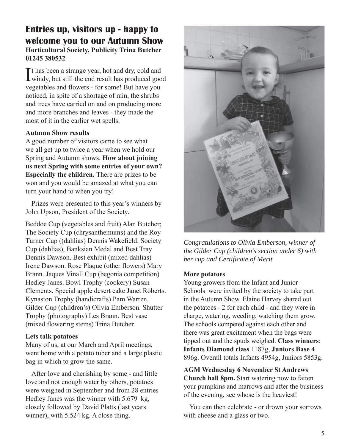### **Entries up, visitors up - happy to welcome you to our Autumn Show Horticultural Society, Publicity Trina Butcher 01245 380532**

It has been a strange year, hot and dry, cold and<br>windy, but still the end result has produced good **T** t has been a strange year, hot and dry, cold and vegetables and flowers - for some! But have you noticed, in spite of a shortage of rain, the shrubs and trees have carried on and on producing more and more branches and leaves - they made the most of it in the earlier wet spells.

#### **Autumn Show results**

A good number of visitors came to see what we all get up to twice a year when we hold our Spring and Autumn shows. **How about joining us next Spring with some entries of your own? Especially the children.** There are prizes to be won and you would be amazed at what you can turn your hand to when you try!

Prizes were presented to this year's winners by John Upson, President of the Society.

Beddoe Cup (vegetables and fruit) Alan Butcher; The Society Cup (chrysanthemums) and the Roy Turner Cup ((dahlias) Dennis Wakefield. Society Cup (dahlias), Banksian Medal and Best Tray Dennis Dawson. Best exhibit (mixed dahlias) Irene Dawson. Rose Plaque (other flowers) Mary Brann. Jaques Vinall Cup (begonia competition) Hedley Janes. Bowl Trophy (cookery) Susan Clements. Special apple desert cake Janet Roberts. Kynaston Trophy (handicrafts) Pam Warren. Gilder Cup (children's) Olivia Emberson. Shutter Trophy (photography) Les Brann. Best vase (mixed flowering stems) Trina Butcher.

#### **Lets talk potatoes**

Many of us, at our March and April meetings, went home with a potato tuber and a large plastic bag in which to grow the same.

After love and cherishing by some - and little love and not enough water by others, potatoes were weighed in September and from 28 entries Hedley Janes was the winner with 5.679 kg, closely followed by David Platts (last years winner), with 5.524 kg. A close thing.



*Congratulations to Olivia Emberson, winner of the Gilder Cup (children's section under 6) with her cup and Certificate of Merit*

#### **More potatoes**

Young growers from the Infant and Junior Schools were invited by the society to take part in the Autumn Show. Elaine Harvey shared out the potatoes - 2 for each child - and they were in charge, watering, weeding, watching them grow. The schools competed against each other and there was great excitement when the bags were tipped out and the spuds weighed. **Class winners**: **Infants Diamond class** 1187g, **Juniors Base 4** 896g. Overall totals Infants 4954g, Juniors 5853g.

**AGM Wednesday 6 November St Andrews Church hall 8pm.** Start watering now to fatten your pumpkins and marrows and after the business of the evening, see whose is the heaviest!

You can then celebrate - or drown your sorrows with cheese and a glass or two.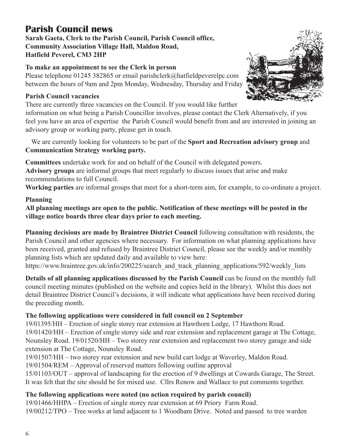### **Parish Council news**

**Sarah Gaeta, Clerk to the Parish Council, Parish Council office, Community Association Village Hall, Maldon Road, Hatfield Peverel, CM3 2HP**

### **To make an appointment to see the Clerk in person**

Please telephone 01245 382865 or email parishclerk@hatfieldpeverelpc.com between the hours of 9am and 2pm Monday, Wednesday, Thursday and Friday

### **Parish Council vacancies**

There are currently three vacancies on the Council. If you would like further information on what being a Parish Councillor involves, please contact the Clerk Alternatively, if you feel you have an area of expertise the Parish Council would benefit from and are interested in joining an advisory group or working party, please get in touch.

We are currently looking for volunteers to be part of the **Sport and Recreation advisory group** and **Communication Strategy working party.** 

**Committees** undertake work for and on behalf of the Council with delegated powers. **Advisory groups** are informal groups that meet regularly to discuss issues that arise and make recommendations to full Council.

**Working parties** are informal groups that meet for a short-term aim, for example, to co-ordinate a project.

### **Planning**

**All planning meetings are open to the public. Notification of these meetings will be posted in the village notice boards three clear days prior to each meeting.**

**Planning decisions are made by Braintree District Council** following consultation with residents, the Parish Council and other agencies where necessary. For information on what planning applications have been received, granted and refused by Braintree District Council, please see the weekly and/or monthly planning lists which are updated daily and available to view here:

https://www.braintree.gov.uk/info/200225/search\_and\_track\_planning\_applications/592/weekly\_lists

**Details of all planning applications discussed by the Parish Council** can be found on the monthly full council meeting minutes (published on the website and copies held in the library). Whilst this does not detail Braintree District Council's decisions, it will indicate what applications have been received during the preceding month.

### **The following applications were considered in full council on 2 September**

19/01395/HH – Erection of single storey rear extension at Hawthorn Lodge, 17 Hawthorn Road. 19/01420/HH – Erection of single storey side and rear extension and replacement garage at The Cottage, Nounsley Road. 19/01520/HH – Two storey rear extension and replacement two storey garage and side extension at The Cottage, Nounsley Road.

19/01507/HH – two storey rear extension and new build cart lodge at Waverley, Maldon Road.

19/01504/REM – Approval of reserved matters following outline approval

15/01103/OUT – approval of landscaping for the erection of 9 dwellings at Cowards Garage, The Street. It was felt that the site should be for mixed use. Cllrs Renow and Wallace to put comments together.

### **The following applications were noted (no action required by parish council)**

19/01466/HHPA – Erection of single storey rear extension at 69 Priory Farm Road. 19/00212/TPO – Tree works at land adjacent to 1 Woodham Drive. Noted and passed to tree warden

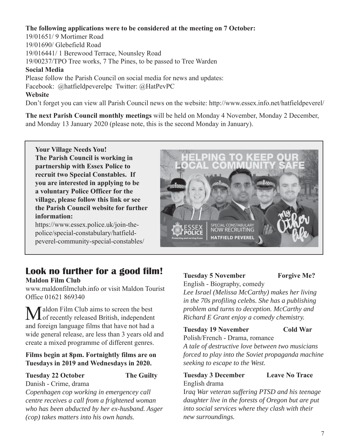#### **The following applications were to be considered at the meeting on 7 October:**

19/01651/ 9 Mortimer Road 19/01690/ Glebefield Road 19/016441/ 1 Berewood Terrace, Nounsley Road 19/00237/TPO Tree works, 7 The Pines, to be passed to Tree Warden **Social Media** Please follow the Parish Council on social media for news and updates: Facebook: @hatfieldpeverelpc Twitter: @HatPevPC **Website** Don't forget you can view all Parish Council news on the website: http://www.essex.info.net/hatfieldpeverel/

**The next Parish Council monthly meetings** will be held on Monday 4 November, Monday 2 December, and Monday 13 January 2020 (please note, this is the second Monday in January).

**Your Village Needs You! The Parish Council is working in partnership with Essex Police to recruit two Special Constables. If you are interested in applying to be a voluntary Police Officer for the village, please follow this link or see the Parish Council website for further information:**

https://www.essex.police.uk/join-thepolice/special-constabulary/hatfieldpeverel-community-special-constables/



### **Look no further for a good film! Maldon Film Club**

www.maldonfilmclub.info or visit Maldon Tourist Office 01621 869340

Maldon Film Club aims to screen the best of recently released British, independent and foreign language films that have not had a wide general release, are less than 3 years old and create a mixed programme of different genres.

#### **Films begin at 8pm. Fortnightly films are on Tuesdays in 2019 and Wednesdays in 2020.**

#### **Tuesday 22 October The Guilty** Danish - Crime, drama

*Copenhagen cop working in emergencey call centre receives a call from a frightened woman who has been abducted by her ex-husband. Asger (cop) takes matters into his own hands.*

### **Tuesday 5 November Forgive Me?**

English - Biography, comedy *Lee Israel (Melissa McCarthy) makes her living in the 70s profiling celebs. She has a publishing problem and turns to deception. McCarthy and Richard E Grant enjoy a comedy chemistry.*

### **Tuesday 19 November Cold War**

Polish/French - Drama, romance *A tale of destructive love between two musicians forced to play into the Soviet propaganda machine seeking to escape to the West.*

#### **Tuesday 3 December Leave No Trace** English drama

I*raq War veteran suffering PTSD and his teenage daughter live in the forests of Oregon but are put into social services where they clash with their new surroundings.*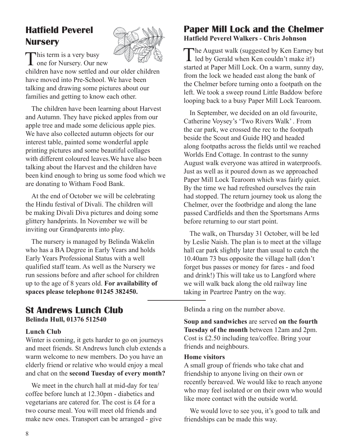### **Hatfield Peverel Nursery**



This term is a very busy<br>
one for Nursery. Our new

children have now settled and our older children have moved into Pre-School. We have been talking and drawing some pictures about our families and getting to know each other.

The children have been learning about Harvest and Autumn. They have picked apples from our apple tree and made some delicious apple pies. We have also collected autumn objects for our interest table, painted some wonderful apple printing pictures and some beautiful collages with different coloured leaves.We have also been talking about the Harvest and the children have been kind enough to bring us some food which we are donating to Witham Food Bank.

At the end of October we will be celebrating the Hindu festival of Divali. The children will be making Divali Diva pictures and doing some glittery handprints. In November we will be inviting our Grandparents into play.

The nursery is managed by Belinda Wakelin who has a BA Degree in Early Years and holds Early Years Professional Status with a well qualified staff team. As well as the Nursery we run sessions before and after school for children up to the age of 8 years old. **For availability of spaces please telephone 01245 382450.**

### **St Andrews Lunch Club Belinda Hull, 01376 512540**

#### **Lunch Club**

Winter is coming, it gets harder to go on journeys and meet friends. St Andrews lunch club extends a warm welcome to new members. Do you have an elderly friend or relative who would enjoy a meal and chat on the **second Tuesday of every month?**

We meet in the church hall at mid-day for tea/ coffee before lunch at 12.30pm - diabetics and vegetarians are catered for. The cost is £4 for a two course meal. You will meet old friends and make new ones. Transport can be arranged - give

### **Paper Mill Lock and the Chelmer Hatfield Peverel Walkers - Chris Johnson**

The August walk (suggested by Ken Earney but **l** led by Gerald when Ken couldn't make it!) started at Paper Mill Lock. On a warm, sunny day, from the lock we headed east along the bank of the Chelmer before turning onto a footpath on the left. We took a sweep round Little Baddow before looping back to a busy Paper Mill Lock Tearoom.

In September, we decided on an old favourite, Catherine Voysey's 'Two Rivers Walk' . From the car park, we crossed the rec to the footpath beside the Scout and Guide HQ and headed along footpaths across the fields until we reached Worlds End Cottage. In contrast to the sunny August walk everyone was attired in waterproofs. Just as well as it poured down as we approached Paper Mill Lock Tearoom which was fairly quiet. By the time we had refreshed ourselves the rain had stopped. The return journey took us along the Chelmer, over the footbridge and along the lane passed Cardfields and then the Sportsmans Arms before returning to our start point.

The walk, on Thursday 31 October, will be led by Leslie Naish. The plan is to meet at the village hall car park slightly later than usual to catch the 10.40am 73 bus opposite the village hall (don't forget bus passes or money for fares - and food and drink!) This will take us to Langford where we will walk back along the old railway line taking in Peartree Pantry on the way.

Belinda a ring on the number above.

**Soup and sandwiches** are served **on the fourth Tuesday of the month** between 12am and 2pm. Cost is £2.50 including tea/coffee. Bring your friends and neighbours.

#### **Home visitors**

A small group of friends who take chat and friendship to anyone living on their own or recently bereaved. We would like to reach anyone who may feel isolated or on their own who would like more contact with the outside world.

We would love to see you, it's good to talk and friendships can be made this way.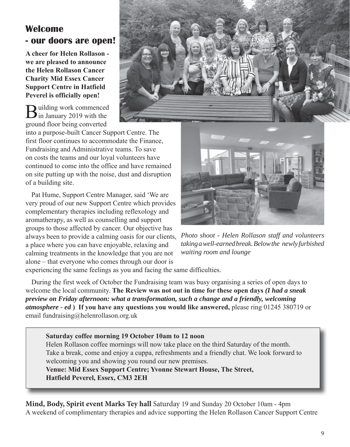### **Welcome - our doors are open!**

**A cheer for Helen Rollason we are pleased to announce the Helen Rollason Cancer Charity Mid Essex Cancer Support Centre in Hatfield Peverel is officially open!**

uilding work commenced  $\mathbf{D}$  in January 2019 with the ground floor being converted

into a purpose-built Cancer Support Centre. The first floor continues to accommodate the Finance, Fundraising and Administrative teams. To save on costs the teams and our loyal volunteers have continued to come into the office and have remained on site putting up with the noise, dust and disruption of a building site.

Pat Hume, Support Centre Manager, said 'We are very proud of our new Support Centre which provides complementary therapies including reflexology and aromatherapy, as well as counselling and support groups to those affected by cancer. Our objective has always been to provide a calming oasis for our clients, a place where you can have enjoyable, relaxing and calming treatments in the knowledge that you are not alone – that everyone who comes through our door is





*Photo shoot - Helen Rollason staff and volunteers taking a well-earned break. Below the newly furbished waiting room and lounge* 

experiencing the same feelings as you and facing the same difficulties.

During the first week of October the Fundraising team was busy organising a series of open days to welcome the local community. **The Review was not out in time for these open days** *(I had a sneak preview on Friday afternoon: what a transformation, such a change and a friendly, welcoming atmosphere - ed* **) If you have any questions you would like answered,** please ring 01245 380719 or email fundraising@helenrollason.org.uk

**Saturday coffee morning 19 October 10am to 12 noon** Helen Rollason coffee mornings will now take place on the third Saturday of the month. Take a break, come and enjoy a cuppa, refreshments and a friendly chat. We look forward to welcoming you and showing you round our new premises. **Venue: Mid Essex Support Centre; Yvonne Stewart House, The Street, Hatfield Peverel, Essex, CM3 2EH**

**Mind, Body, Spirit event Marks Tey hall** Saturday 19 and Sunday 20 October 10am - 4pm A weekend of complimentary therapies and advice supporting the Helen Rollason Cancer Support Centre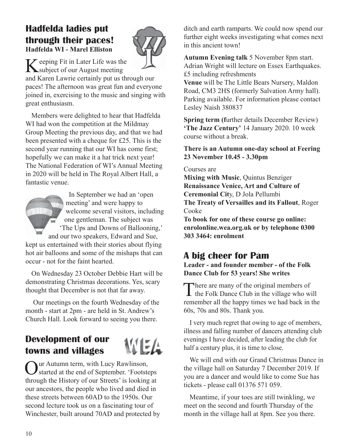### **Hadfelda ladies put through their paces! Hadfelda WI - Marel Elliston**



Keeping Fit in Later Life was the subject of our August meeting

and Karen Lawrie certainly put us through our paces! The afternoon was great fun and everyone joined in, exercising to the music and singing with great enthusiasm.

Members were delighted to hear that Hadfelda WI had won the competition at the Mildmay Group Meeting the previous day, and that we had been presented with a cheque for £25. This is the second year running that our WI has come first; hopefully we can make it a hat trick next year! The National Federation of WI's Annual Meeting in 2020 will be held in The Royal Albert Hall, a fantastic venue.

In September we had an 'open meeting' and were happy to welcome several visitors, including one gentleman. The subject was 'The Ups and Downs of Ballooning,' and our two speakers, Edward and Sue, kept us entertained with their stories about flying hot air balloons and some of the mishaps that can occur - not for the faint hearted.

On Wednesday 23 October Debbie Hart will be demonstrating Christmas decorations. Yes, scary thought that December is not that far away.

 Our meetings on the fourth Wednesday of the month - start at 2pm - are held in St. Andrew's Church Hall. Look forward to seeing you there.

### **Development of our towns and villages**



Our Autumn term, with Lucy Rawlinson, started at the end of September. 'Footsteps through the History of our Streets' is looking at our ancestors, the people who lived and died in these streets between 60AD to the 1950s. Our second lecture took us on a fascinating tour of Winchester, built around 70AD and protected by ditch and earth ramparts. We could now spend our further eight weeks investigating what comes next in this ancient town!

**Autumn Evening talk** 5 November 8pm start. Adrian Wright will lecture on Essex Earthquakes. £5 including refreshments **Venue** will be The Little Bears Nursery, Maldon

Road, CM3 2HS (formerly Salvation Army hall). Parking available. For information please contact Lesley Naish 380837

**Spring term (f**urther details December Review) **'The Jazz Century'** 14 January 2020. 10 week course without a break.

#### **There is an Autumn one-day school at Feering 23 November 10.45 - 3.30pm**

#### Courses are

**Mixing with Music**, Quintus Benziger **Renaissance Venice, Art and Culture of Ceremonial Cit**y, D Jola Pellumbi **The Treaty of Versailles and its Fallout**, Roger Cooke

**To book for one of these course go online: enrolonline.wea.org.uk or by telephone 0300 303 3464: enrolment**

### **A big cheer for Pam**

**Leader - and founder member - of the Folk Dance Club for 53 years! She writes**

There are many of the original members of  $\perp$  the Folk Dance Club in the village who will remember all the happy times we had back in the 60s, 70s and 80s. Thank you.

I very much regret that owing to age of members, illness and falling number of dancers attending club evenings I have decided, after leading the club for half a century plus, it is time to close.

We will end with our Grand Christmas Dance in the village hall on Saturday 7 December 2019. If you are a dancer and would like to come Sue has tickets - please call 01376 571 059.

Meantime, if your toes are still twinkling, we meet on the second and fourth Thursday of the month in the village hall at 8pm. See you there.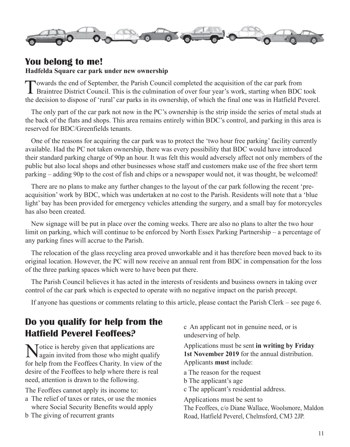

### **You belong to me! Hadfelda Square car park under new ownership**

Towards the end of September, the Parish Council completed the acquisition of the car park from Braintree District Council. This is the culmination of over four year's work, starting when BDC took the decision to dispose of 'rural' car parks in its ownership, of which the final one was in Hatfield Peverel.

The only part of the car park not now in the PC's ownership is the strip inside the series of metal studs at the back of the flats and shops. This area remains entirely within BDC's control, and parking in this area is reserved for BDC/Greenfields tenants.

One of the reasons for acquiring the car park was to protect the 'two hour free parking' facility currently available. Had the PC not taken ownership, there was every possibility that BDC would have introduced their standard parking charge of 90p an hour. It was felt this would adversely affect not only members of the public but also local shops and other businesses whose staff and customers make use of the free short term parking – adding 90p to the cost of fish and chips or a newspaper would not, it was thought, be welcomed!

There are no plans to make any further changes to the layout of the car park following the recent 'preacquisition' work by BDC, which was undertaken at no cost to the Parish. Residents will note that a 'blue light' bay has been provided for emergency vehicles attending the surgery, and a small bay for motorcycles has also been created.

New signage will be put in place over the coming weeks. There are also no plans to alter the two hour limit on parking, which will continue to be enforced by North Essex Parking Partnership – a percentage of any parking fines will accrue to the Parish.

The relocation of the glass recycling area proved unworkable and it has therefore been moved back to its original location. However, the PC will now receive an annual rent from BDC in compensation for the loss of the three parking spaces which were to have been put there.

The Parish Council believes it has acted in the interests of residents and business owners in taking over control of the car park which is expected to operate with no negative impact on the parish precept.

If anyone has questions or comments relating to this article, please contact the Parish Clerk – see page 6.

### **Do you qualify for help from the Hatfield Peverel Feoffees?**

Notice is hereby given that applications are again invited from those who might qualify for help from the Feoffees Charity. In view of the desire of the Feoffees to help where there is real need, attention is drawn to the following.

The Feoffees cannot apply its income to:

- a The relief of taxes or rates, or use the monies where Social Security Benefits would apply
- b The giving of recurrent grants

c An applicant not in genuine need, or is undeserving of help.

Applications must be sent **in writing by Friday 1st November 2019** for the annual distribution. Applicants **must** include:

a The reason for the request

b The applicant's age

c The applicant's residential address.

Applications must be sent to The Feoffees, c/o Diane Wallace, Woolsmore, Maldon Road, Hatfield Peverel, Chelmsford, CM3 2JP.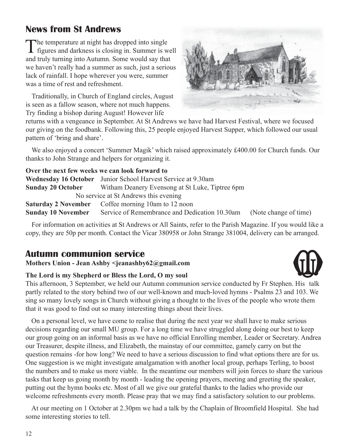### **News from St Andrews**

The temperature at night has dropped into single figures and darkness is closing in. Summer is well and truly turning into Autumn. Some would say that we haven't really had a summer as such, just a serious lack of rainfall. I hope wherever you were, summer was a time of rest and refreshment.

Traditionally, in Church of England circles, August is seen as a fallow season, where not much happens. Try finding a bishop during August! However life



returns with a vengeance in September. At St Andrews we have had Harvest Festival, where we focused our giving on the foodbank. Following this, 25 people enjoyed Harvest Supper, which followed our usual pattern of 'bring and share'.

We also enjoyed a concert 'Summer Magik' which raised approximately £400.00 for Church funds. Our thanks to John Strange and helpers for organizing it.

**Over the next few weeks we can look forward to**

|                           | <b>Wednesday 16 October</b> Junior School Harvest Service at 9.30am |                       |
|---------------------------|---------------------------------------------------------------------|-----------------------|
| <b>Sunday 20 October</b>  | Witham Deanery Evensong at St Luke, Tiptree 6pm                     |                       |
|                           | No service at St Andrews this evening                               |                       |
|                           | <b>Saturday 2 November</b> Coffee morning 10am to 12 noon           |                       |
| <b>Sunday 10 November</b> | Service of Remembrance and Dedication 10.30am                       | (Note change of time) |

For information on activities at St Andrews or All Saints, refer to the Parish Magazine. If you would like a copy, they are 50p per month. Contact the Vicar 380958 or John Strange 381004, delivery can be arranged.

### **Autumn communion service**

**Mothers Union - Jean Ashby <jeanashby62@gmail.com**

#### **The Lord is my Shepherd or Bless the Lord, O my soul**

This afternoon, 3 September, we held our Autumn communion service conducted by Fr Stephen. His talk partly related to the story behind two of our well-known and much-loved hymns - Psalms 23 and 103. We sing so many lovely songs in Church without giving a thought to the lives of the people who wrote them that it was good to find out so many interesting things about their lives.

On a personal level, we have come to realise that during the next year we shall have to make serious decisions regarding our small MU group. For a long time we have struggled along doing our best to keep our group going on an informal basis as we have no official Enrolling member, Leader or Secretary. Andrea our Treasurer, despite illness, and Elizabeth, the mainstay of our committee, gamely carry on but the question remains -for how long? We need to have a serious discussion to find what options there are for us. One suggestion is we might investigate amalgamation with another local group, perhaps Terling, to boost the numbers and to make us more viable. In the meantime our members will join forces to share the various tasks that keep us going month by month - leading the opening prayers, meeting and greeting the speaker, putting out the hymn books etc. Most of all we give our grateful thanks to the ladies who provide our welcome refreshments every month. Please pray that we may find a satisfactory solution to our problems.

At our meeting on 1 October at 2.30pm we had a talk by the Chaplain of Broomfield Hospital. She had some interesting stories to tell.

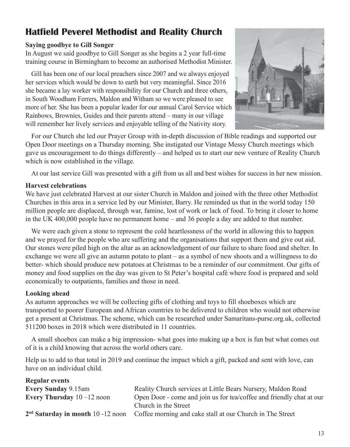### **Hatfield Peverel Methodist and Reality Church**

#### **Saying goodbye to Gill Songer**

In August we said goodbye to Gill Songer as she begins a 2 year full-time training course in Birmingham to become an authorised Methodist Minister.

Gill has been one of our local preachers since 2007 and we always enjoyed her services which would be down to earth but very meaningful. Since 2016 she became a lay worker with responsibility for our Church and three others, in South Woodham Ferrers, Maldon and Witham so we were pleased to see more of her. She has been a popular leader for our annual Carol Service which Rainbows, Brownies, Guides and their parents attend – many in our village will remember her lively services and enjoyable telling of the Nativity story.



For our Church she led our Prayer Group with in-depth discussion of Bible readings and supported our Open Door meetings on a Thursday morning. She instigated our Vintage Messy Church meetings which gave us encouragement to do things differently – and helped us to start our new venture of Reality Church which is now established in the village.

At our last service Gill was presented with a gift from us all and best wishes for success in her new mission.

#### **Harvest celebrations**

We have just celebrated Harvest at our sister Church in Maldon and joined with the three other Methodist Churches in this area in a service led by our Minister, Barry. He reminded us that in the world today 150 million people are displaced, through war, famine, lost of work or lack of food. To bring it closer to home in the UK 400,000 people have no permanent home – and 36 people a day are added to that number.

We were each given a stone to represent the cold heartlessness of the world in allowing this to happen and we prayed for the people who are suffering and the organisations that support them and give out aid. Our stones were piled high on the altar as an acknowledgement of our failure to share food and shelter. In exchange we were all give an autumn potato to plant – as a symbol of new shoots and a willingness to do better- which should produce new potatoes at Christmas to be a reminder of our commitment. Our gifts of money and food supplies on the day was given to St Peter's hospital café where food is prepared and sold economically to outpatients, families and those in need.

#### **Looking ahead**

As autumn approaches we will be collecting gifts of clothing and toys to fill shoeboxes which are transported to poorer European and African countries to be delivered to children who would not otherwise get a present at Christmas. The scheme, which can be researched under Samaritans-purse.org.uk, collected 511200 boxes in 2018 which were distributed in 11 countries.

A small shoebox can make a big impression- what goes into making up a box is fun but what comes out of it is a child knowing that across the world others care.

Help us to add to that total in 2019 and continue the impact which a gift, packed and sent with love, can have on an individual child.

| <b>Regular events</b>                |                                                                                               |
|--------------------------------------|-----------------------------------------------------------------------------------------------|
| <b>Every Sunday 9.15am</b>           | Reality Church services at Little Bears Nursery, Maldon Road                                  |
| <b>Every Thursday</b> $10 - 12$ noon | Open Door - come and join us for tea/coffee and friendly chat at our<br>Church in the Street  |
|                                      | $2nd$ Saturday in month 10 -12 noon Coffee morning and cake stall at our Church in The Street |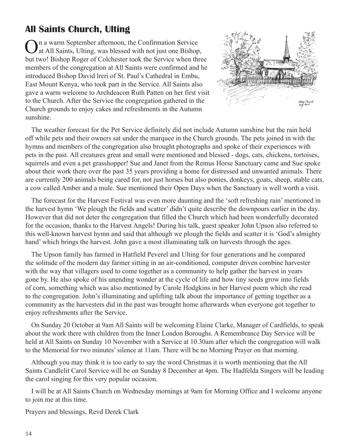### **All Saints Church, Ulting**

On a warm September afternoon, the Confirmation Service at All Saints, Ulting, was blessed with not just one Bishop, but two! Bishop Roger of Colchester took the Service when three members of the congregation at All Saints were confirmed and he introduced Bishop David lreri of St. Paul's Cathedral in Embu, East Mount Kenya, who took part in the Service. All Saints also gave a warm welcome to Archdeacon Ruth Patten on her first visit to the Church. After the Service the congregation gathered in the Church grounds to enjoy cakes and refreshments in the Autumn sunshine.



The weather forecast for the Pet Service definitely did not include Autumn sunshine but the rain held off while pets and their owners sat under the marquee in the Church grounds. The pets joined in with the hymns and members of the congregation also brought photographs and spoke of their experiences with pets in the past. All creatures great and small were mentioned and blessed - dogs, cats, chickens, tortoises, squirrels and even a pet grasshopper! Sue and Janet from the Remus Horse Sanctuary came and Sue spoke about their work there over the past 35 years providing a home for distressed and unwanted animals. There are currently 200 animals being cared for, not just horses but also ponies, donkeys, goats, sheep, stable cats, a cow called Amber and a mule. Sue mentioned their Open Days when the Sanctuary is well worth a visit.

The forecast for the Harvest Festival was even more daunting and the 'soft refreshing rain' mentioned in the harvest hymn 'We plough the fields and scatter' didn't quite describe the downpours earlier in the day. However that did not deter the congregation that filled the Church which had been wonderfully decorated for the occasion, thanks to the Harvest Angels! During his talk, guest speaker John Upson also referred to this well-known harvest hymn and said that although we plough the fields and scatter it is 'God's almighty hand' which brings the harvest. John gave a most illuminating talk on harvests through the ages.

The Upson family has farmed in Hatfield Peverel and Ulting for four generations and he compared the solitude of the modern day farmer sitting in an air-conditioned, computer driven combine harvester with the way that villagers used to come together as a community to help gather the harvest in years gone by. He also spoke of his unending wonder at the cycle of life and how tiny seeds grow into fields of corn, something which was also mentioned by Carole Hodgkins in her Harvest poem which she read to the congregation. John's illuminating and uplifting talk about the importance of getting together as a community as the harvesters did in the past was brought home afterwards when everyone got together to enjoy refreshments after the Service.

On Sunday 20 October at 9am All Saints will be welcoming Elaine Clarke, Manager of Cardfields, to speak about the work there with children from the Inner London Boroughs. A Remembrance Day Service will be held at All Saints on Sunday 10 November with a Service at 10.30am after which the congregation will walk to the Memorial for two minutes' silence at 11am. There will be no Morning Prayer on that morning.

Although you may think it is too early to say the word Christmas it is worth mentioning that the All Saints Candlelit Carol Service will be on Sunday 8 December at 4pm. The Hadfelda Singers will be leading the carol singing for this very popular occasion.

I will be at All Saints Church on Wednesday mornings at 9am for Morning Office and I welcome anyone to join me at this time.

Prayers and blessings, Revd Derek Clark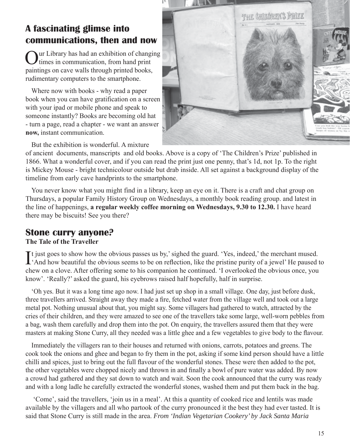### **A fascinating glimse into communications, then and now**

Our Library has had an exhibition of changing times in communication, from hand print paintings on cave walls through printed books, rudimentary computers to the smartphone.

Where now with books - why read a paper book when you can have gratification on a screen with your ipad or mobile phone and speak to someone instantly? Books are becoming old hat - turn a page, read a chapter - we want an answer **now,** instant communication.



But the exhibition is wonderful. A mixture

of ancient documents, manscripts and old books. Above is a copy of 'The Children's Prize' published in 1866. What a wonderful cover, and if you can read the print just one penny, that's 1d, not 1p. To the right is Mickey Mouse - bright technicolour outside but drab inside. All set against a background display of the timeline from early cave handprints to the smartphone.

You never know what you might find in a library, keep an eye on it. There is a craft and chat group on Thursdays, a popular Family History Group on Wednesdays, a monthly book reading group. and latest in the line of happenings, **a regular weekly coffee morning on Wednesdays, 9.30 to 12.30.** I have heard there may be biscuits! See you there?

#### **Stone curry anyone? The Tale of the Traveller**

It just goes to show how the obvious passes us by,' sighed the guard. 'Yes, indeed,' the merchant mused. 'And how beautiful the obvious seems to be on reflection, like the pristine purity of a jewel' He paused i 'And how beautiful the obvious seems to be on reflection, like the pristine purity of a jewel' He paused to chew on a clove. After offering some to his companion he continued. 'I overlooked the obvious once, you know'. 'Really?' asked the guard, his eyebrows raised half hopefully, half in surprise.

'Oh yes. But it was a long time ago now. I had just set up shop in a small village. One day, just before dusk, three travellers arrived. Straight away they made a fire, fetched water from the village well and took out a large metal pot. Nothing unusual about that, you might say. Some villagers had gathered to watch, attracted by the cries of their children, and they were amazed to see one of the travellers take some large, well-worn pebbles from a bag, wash them carefully and drop them into the pot. On enquiry, the travellers assured them that they were masters at making Stone Curry, all they needed was a little ghee and a few vegetables to give body to the flavour.

Immediately the villagers ran to their houses and returned with onions, carrots, potatoes and greens. The cook took the onions and ghee and began to fry them in the pot, asking if some kind person should have a little chilli and spices, just to bring out the full flavour of the wonderful stones. These were then added to the pot, the other vegetables were chopped nicely and thrown in and finally a bowl of pure water was added. By now a crowd had gathered and they sat down to watch and wait. Soon the cook announced that the curry was ready and with a long ladle he carefully extracted the wonderful stones, washed them and put them back in the bag.

 'Come', said the travellers, 'join us in a meal'. At this a quantity of cooked rice and lentils was made available by the villagers and all who partook of the curry pronounced it the best they had ever tasted. It is said that Stone Curry is still made in the area. *From 'Indian Vegetarian Cookery' by Jack Santa Maria*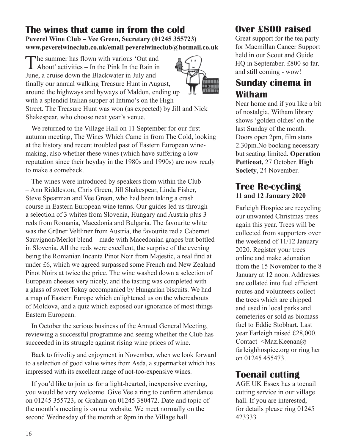### **The wines that came in from the cold**

**Peverel Wine Club – Vee Green, Secretary (01245 355723) www.peverelwineclub.co.uk/email peverelwineclub@hotmail.co.uk**

The summer has flown with various 'Out and About' activities – In the Pink In the Rain in June, a cruise down the Blackwater in July and finally our annual walking Treasure Hunt in August, around the highways and byways of Maldon, ending up with a splendid Italian supper at Intimo's on the High



Street. The Treasure Hunt was won (as expected) by Jill and Nick Shakespear, who choose next year's venue.

We returned to the Village Hall on 11 September for our first autumn meeting, The Wines Which Came in from The Cold, looking at the history and recent troubled past of Eastern European winemaking, also whether these wines (which have suffering a low reputation since their heyday in the 1980s and 1990s) are now ready to make a comeback.

The wines were introduced by speakers from within the Club – Ann Riddleston, Chris Green, Jill Shakespear, Linda Fisher, Steve Spearman and Vee Green, who had been taking a crash course in Eastern European wine terms. Our guides led us through a selection of 3 whites from Slovenia, Hungary and Austria plus 3 reds from Romania, Macedonia and Bulgaria. The favourite white was the Grüner Veltliner from Austria, the favourite red a Cabernet Sauvignon/Merlot blend – made with Macedonian grapes but bottled in Slovenia. All the reds were excellent, the surprise of the evening being the Romanian Incanta Pinot Noir from Majestic, a real find at under £6, which we agreed surpassed some French and New Zealand Pinot Noirs at twice the price. The wine washed down a selection of European cheeses very nicely, and the tasting was completed with a glass of sweet Tokay accompanied by Hungarian biscuits. We had a map of Eastern Europe which enlightened us on the whereabouts of Moldova, and a quiz which exposed our ignorance of most things Eastern European.

In October the serious business of the Annual General Meeting, reviewing a successful programme and seeing whether the Club has succeeded in its struggle against rising wine prices of wine.

Back to frivolity and enjoyment in November, when we look forward to a selection of good value wines from Asda, a supermarket which has impressed with its excellent range of not-too-expensive wines.

If you'd like to join us for a light-hearted, inexpensive evening, you would be very welcome. Give Vee a ring to confirm attendance on 01245 355723, or Graham on 01245 380472. Date and topic of the month's meeting is on our website. We meet normally on the second Wednesday of the month at 8pm in the Village hall.

### **Over £800 raised**

Great support for the tea party for Macmillan Cancer Support held in our Scout and Guide HQ in September. £800 so far. and still coming - wow!

### **Sunday cinema in Witham**

Near home and if you like a bit of nostalgia, Witham library shows 'golden oldies' on the last Sunday of the month. Doors open 2pm, film starts 2.30pm.No booking necessary but seating limited. **Operation Petticoat,** 27 October. **High Society**, 24 November.

### **Tree Re-cycling 11 and 12 January 2020**

Farleigh Hospice are recycling our unwanted Christmas trees again this year. Trees will be collected from supporters over the weekend of 11/12 January 2020. Register your trees online and make adonation from the 15 November to the 8 January at 12 noon. Addresses are collated into fuel efficient routes and volunteers collect the trees which are chipped and used in local parks and cemeteries or sold as biomass fuel to Eddie Stobbart. Last year Farleigh raised £28,000. Contact <Maz.Keenan@ farleighhospice.org or ring her on 01245 455473.

### **Toenail cutting**

AGE UK Essex has a toenail cutting service in our village hall. If you are interested, for details please ring 01245 423333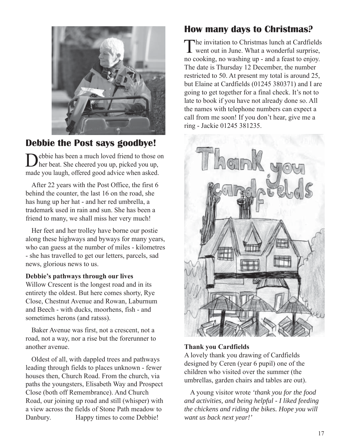

### **Debbie the Post says goodbye!**

ebbie has been a much loved friend to those on her beat. She cheered you up, picked you up, made you laugh, offered good advice when asked.

After 22 years with the Post Office, the first 6 behind the counter, the last 16 on the road, she has hung up her hat - and her red umbrella, a trademark used in rain and sun. She has been a friend to many, we shall miss her very much!

Her feet and her trolley have borne our postie along these highways and byways for many years, who can guess at the number of miles - kilometres - she has travelled to get our letters, parcels, sad news, glorious news to us.

#### **Debbie's pathways through our lives**

Willow Crescent is the longest road and in its entirety the oldest. But here comes shorty, Rye Close, Chestnut Avenue and Rowan, Laburnum and Beech - with ducks, moorhens, fish - and sometimes herons (and ratsss).

Baker Avenue was first, not a crescent, not a road, not a way, nor a rise but the forerunner to another avenue.

Oldest of all, with dappled trees and pathways leading through fields to places unknown - fewer houses then, Church Road. From the church, via paths the youngsters, Elisabeth Way and Prospect Close (both off Remembrance). And Church Road, our joining up road and still (whisper) with a view across the fields of Stone Path meadow to Danbury. Happy times to come Debbie!

### **How many days to Christmas?**

The invitation to Christmas lunch at Cardfields went out in June. What a wonderful surprise, no cooking, no washing up - and a feast to enjoy. The date is Thursday 12 December, the number restricted to 50. At present my total is around 25, but Elaine at Cardfields (01245 380371) and I are going to get together for a final check. It's not to late to book if you have not already done so. All the names with telephone numbers can expect a call from me soon! If you don't hear, give me a ring - Jackie 01245 381235.



#### **Thank you Cardfields**

A lovely thank you drawing of Cardfields designed by Ceren (year 6 pupil) one of the children who visited over the summer (the umbrellas, garden chairs and tables are out).

A young visitor wrote *'thank you for the food and activities, and being helpful - I liked feeding the chickens and riding the bikes. Hope you will want us back next year!'*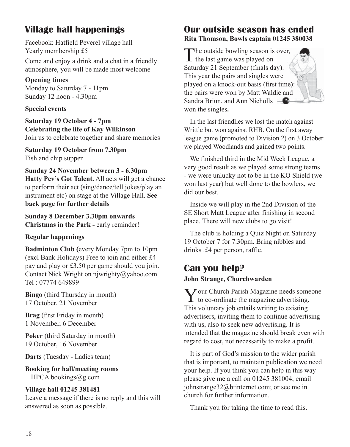### **Village hall happenings**

Facebook: Hatfield Peverel village hall Yearly membership £5

Come and enjoy a drink and a chat in a friendly atmosphere, you will be made most welcome

### **Opening times**

Monday to Saturday 7 - 11pm Sunday 12 noon - 4.30pm

#### **Special events**

**Saturday 19 October 4 - 7pm Celebrating the life of Kay Wilkinson** Join us to celebrate together and share memories

**Saturday 19 October from 7.30pm** Fish and chip supper

**Sunday 24 November between 3 - 6.30pm Hatty Pev's Got Talent.** All acts will get a chance to perform their act (sing/dance/tell jokes/play an instrument etc) on stage at the Village Hall. **See back page for further details**

**Sunday 8 December 3.30pm onwards Christmas in the Park -** early reminder!

### **Regular happenings**

**Badminton Club (**every Monday 7pm to 10pm (excl Bank Holidays) Free to join and either £4 pay and play or £3.50 per game should you join. Contact Nick Wright on njwrighty@yahoo.com Tel : 07774 649899

**Bingo** (third Thursday in month) 17 October, 21 November

**Brag** (first Friday in month) 1 November, 6 December

**Poker** (third Saturday in month) 19 October, 16 November

**Darts** (Tuesday - Ladies team)

**Booking for hall/meeting rooms** HPCA bookings@g.com

#### **Village hall 01245 381481**

Leave a message if there is no reply and this will answered as soon as possible.

### **Our outside season has ended Rita Thomson, Bowls captain 01245 380038**

The outside bowling season is over,  $\perp$  the last game was played on Saturday 21 September (finals day). This year the pairs and singles were played on a knock-out basis (first time**)**: the pairs were won by Matt Waldie and Sandra Briun, and Ann Nicholls  $\Box$ won the singles**.**

In the last friendlies we lost the match against Writtle but won against RHB. On the first away league game (promoted to Division 2) on 3 October we played Woodlands and gained two points.

We finished third in the Mid Week League, a very good result as we played some strong teams - we were unlucky not to be in the KO Shield (we won last year) but well done to the bowlers, we did our best.

Inside we will play in the 2nd Division of the SE Short Matt League after finishing in second place. There will new clubs to go visit!

The club is holding a Quiz Night on Saturday 19 October 7 for 7.30pm. Bring nibbles and drinks .£4 per person, raffle.

### **Can you help? John Strange, Churchwarden**

Your Church Parish Magazine needs someone to co-ordinate the magazine advertising. This voluntary job entails writing to existing advertisers, inviting them to continue advertising with us, also to seek new advertising. It is intended that the magazine should break even with regard to cost, not necessarily to make a profit.

It is part of God's mission to the wider parish that is important, to maintain publication we need your help. If you think you can help in this way please give me a call on 01245 381004; email johnstrange32@btinternet.com; or see me in church for further information.

Thank you for taking the time to read this.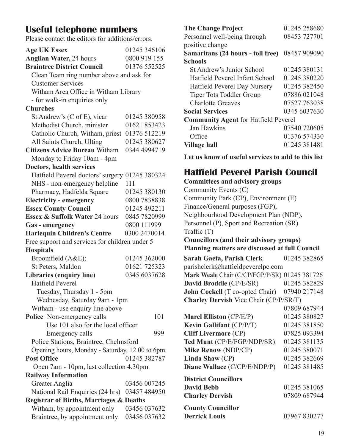### **Useful telephone numbers**

Please contact the editors for additions/errors.

| <b>Age UK Essex</b>                                | 01245 346106 |  |  |
|----------------------------------------------------|--------------|--|--|
| <b>Anglian Water, 24 hours</b>                     | 0800 919 155 |  |  |
| <b>Braintree District Council</b>                  | 01376 552525 |  |  |
| Clean Team ring number above and ask for           |              |  |  |
| <b>Customer Services</b>                           |              |  |  |
| Witham Area Office in Witham Library               |              |  |  |
| - for walk-in enquiries only                       |              |  |  |
| <b>Churches</b>                                    |              |  |  |
| St Andrew's (C of E), vicar                        | 01245 380958 |  |  |
| Methodist Church, minister                         | 01621 853423 |  |  |
| Catholic Church, Witham, priest                    | 01376 512219 |  |  |
| All Saints Church, Ulting                          | 01245 380627 |  |  |
| <b>Citizens Advice Bureau Witham</b>               | 0344 4994719 |  |  |
| Monday to Friday 10am - 4pm                        |              |  |  |
| Doctors, health services                           |              |  |  |
| Hatfield Peverel doctors' surgery 01245 380324     |              |  |  |
| NHS - non-emergency helpline                       | 111          |  |  |
| Pharmacy, Hadfelda Square                          | 01245 380130 |  |  |
| <b>Electricity - emergency</b>                     | 0800 7838838 |  |  |
| <b>Essex County Council</b>                        | 01245 492211 |  |  |
| Essex & Suffolk Water 24 hours                     | 0845 7820999 |  |  |
| Gas - emergency                                    | 0800 111999  |  |  |
| <b>Harlequin Children's Centre</b>                 | 0300 2470014 |  |  |
| Free support and services for children under 5     |              |  |  |
| <b>Hospitals</b>                                   |              |  |  |
| Broomfield (A&E);                                  | 01245 362000 |  |  |
| St Peters, Maldon                                  | 01621 725323 |  |  |
| Libraries (enquiry line)                           | 0345 6037628 |  |  |
| Hatfield Peverel                                   |              |  |  |
| Tuesday, Thursday 1 - 5pm                          |              |  |  |
| Wednesday, Saturday 9am - 1pm                      |              |  |  |
| Witham - use enquiry line above                    |              |  |  |
| Police Non-emergency calls                         | 101          |  |  |
| Use 101 also for the local officer                 |              |  |  |
| Emergency calls                                    | 999          |  |  |
| Police Stations, Braintree, Chelmsford             |              |  |  |
| Opening hours, Monday - Saturday, 12.00 to 6pm     |              |  |  |
| <b>Post Office</b>                                 | 01245 382787 |  |  |
| Open 7am - 10pm, last collection 4.30pm            |              |  |  |
| <b>Railway Information</b>                         |              |  |  |
| Greater Anglia                                     | 03456 007245 |  |  |
| National Rail Enquiries (24 hrs)<br>03457 484950   |              |  |  |
| <b>Registrar of Births, Marriages &amp; Deaths</b> |              |  |  |
| Witham, by appointment only                        | 03456 037632 |  |  |
| Braintree, by appointment only                     | 03456 037632 |  |  |

| <b>The Change Project</b>                   | 01245 258680 |  |  |
|---------------------------------------------|--------------|--|--|
| Personnel well-being through                | 08453 727701 |  |  |
| positive change                             |              |  |  |
| Samaritans (24 hours - toll free)           | 08457 909090 |  |  |
| <b>Schools</b>                              |              |  |  |
| St Andrew's Junior School                   | 01245 380131 |  |  |
| Hatfield Peverel Infant School              | 01245 380220 |  |  |
| Hatfield Peverel Day Nursery                | 01245 382450 |  |  |
| <b>Tiger Tots Toddler Group</b>             | 07886 021048 |  |  |
| Charlotte Greaves                           | 07527 763038 |  |  |
| <b>Social Services</b>                      | 0345 6037630 |  |  |
| <b>Community Agent for Hatfield Peverel</b> |              |  |  |
| Jan Hawkins                                 | 07540 720605 |  |  |
| Office                                      | 01376 574330 |  |  |
| Village hall                                | 01245 381481 |  |  |

**Let us know of useful services to add to this list**

### **Hatfield Peverel Parish Council**

| <b>Committees and advisory groups</b>          |                                      |              |  |  |
|------------------------------------------------|--------------------------------------|--------------|--|--|
| Community Events (C)                           |                                      |              |  |  |
|                                                | Community Park (CP), Environment (E) |              |  |  |
| Finance/General purposes (FGP),                |                                      |              |  |  |
| Neighbourhood Development Plan (NDP),          |                                      |              |  |  |
| Personnel (P), Sport and Recreation (SR)       |                                      |              |  |  |
| Traffic (T)                                    |                                      |              |  |  |
| Councillors (and their advisory groups)        |                                      |              |  |  |
| Planning matters are discussed at full Council |                                      |              |  |  |
| Sarah Gaeta, Parish Clerk                      |                                      | 01245 382865 |  |  |
| parishclerk@hatfieldpeverelpc.com              |                                      |              |  |  |
| Mark Weale Chair (C/CP/FGP/P/SR) 01245 381726  |                                      |              |  |  |
| David Broddle (CP/E/SR)                        |                                      | 01245 382829 |  |  |
| John Cockell (T co-opted Chair)                |                                      | 07940 217148 |  |  |
| Charley Dervish Vice Chair (CP/P/SR/T)         |                                      |              |  |  |
|                                                |                                      | 07809 687944 |  |  |
| Marel Elliston (CP/E/P)                        |                                      | 01245 380827 |  |  |
| Kevin Gallifant (CP/P/T)                       |                                      | 01245 381850 |  |  |
| <b>Cliff Livermore (CP)</b>                    |                                      | 07825 093394 |  |  |
| Ted Munt (CP/E/FGP/NDP/SR)                     |                                      | 01245 381135 |  |  |
| Mike Renow (NDP/CP)                            |                                      | 01245 380071 |  |  |
| Linda Shaw (CP)                                |                                      | 01245 382669 |  |  |
| Diane Wallace (C/CP/E/NDP/P)                   |                                      | 01245 381485 |  |  |
| <b>District Councillors</b>                    |                                      |              |  |  |
| <b>David Bebb</b>                              |                                      | 01245 381065 |  |  |
| <b>Charley Dervish</b>                         |                                      | 07809 687944 |  |  |
| <b>County Councillor</b>                       |                                      |              |  |  |
| <b>Derrick Louis</b>                           |                                      | 07967 830277 |  |  |